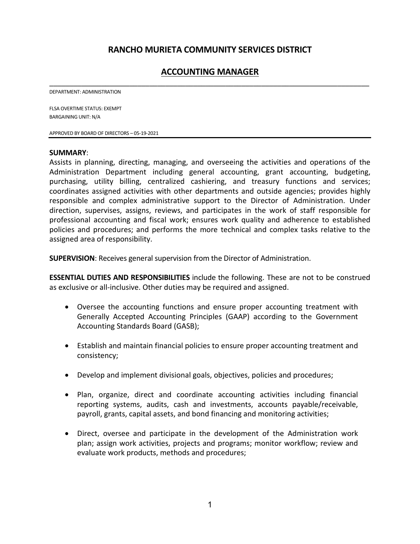# **RANCHO MURIETA COMMUNITY SERVICES DISTRICT**

# **ACCOUNTING MANAGER** \_\_\_\_\_\_\_\_\_\_\_\_\_\_\_\_\_\_\_\_\_\_\_\_\_\_\_\_\_\_\_\_\_\_\_\_\_\_\_\_\_\_\_\_\_\_\_\_\_\_\_\_\_\_\_\_\_\_\_\_\_\_\_\_\_\_\_\_\_\_\_\_\_\_\_\_\_\_\_\_

DEPARTMENT: ADMINISTRATION

FLSA OVERTIME STATUS: EXEMPT BARGAINING UNIT: N/A

APPROVED BY BOARD OF DIRECTORS – 05-19-2021

#### **SUMMARY**:

Assists in planning, directing, managing, and overseeing the activities and operations of the Administration Department including general accounting, grant accounting, budgeting, purchasing, utility billing, centralized cashiering, and treasury functions and services; coordinates assigned activities with other departments and outside agencies; provides highly responsible and complex administrative support to the Director of Administration. Under direction, supervises, assigns, reviews, and participates in the work of staff responsible for professional accounting and fiscal work; ensures work quality and adherence to established policies and procedures; and performs the more technical and complex tasks relative to the assigned area of responsibility.

**SUPERVISION**: Receives general supervision from the Director of Administration.

**ESSENTIAL DUTIES AND RESPONSIBILITIES** include the following. These are not to be construed as exclusive or all-inclusive. Other duties may be required and assigned.

- Oversee the accounting functions and ensure proper accounting treatment with Generally Accepted Accounting Principles (GAAP) according to the Government Accounting Standards Board (GASB);
- Establish and maintain financial policies to ensure proper accounting treatment and consistency;
- Develop and implement divisional goals, objectives, policies and procedures;
- Plan, organize, direct and coordinate accounting activities including financial reporting systems, audits, cash and investments, accounts payable/receivable, payroll, grants, capital assets, and bond financing and monitoring activities;
- Direct, oversee and participate in the development of the Administration work plan; assign work activities, projects and programs; monitor workflow; review and evaluate work products, methods and procedures;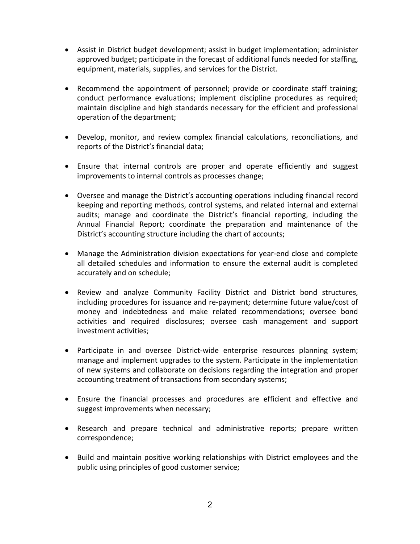- Assist in District budget development; assist in budget implementation; administer approved budget; participate in the forecast of additional funds needed for staffing, equipment, materials, supplies, and services for the District.
- Recommend the appointment of personnel; provide or coordinate staff training; conduct performance evaluations; implement discipline procedures as required; maintain discipline and high standards necessary for the efficient and professional operation of the department;
- Develop, monitor, and review complex financial calculations, reconciliations, and reports of the District's financial data;
- Ensure that internal controls are proper and operate efficiently and suggest improvements to internal controls as processes change;
- Oversee and manage the District's accounting operations including financial record keeping and reporting methods, control systems, and related internal and external audits; manage and coordinate the District's financial reporting, including the Annual Financial Report; coordinate the preparation and maintenance of the District's accounting structure including the chart of accounts;
- Manage the Administration division expectations for year-end close and complete all detailed schedules and information to ensure the external audit is completed accurately and on schedule;
- Review and analyze Community Facility District and District bond structures, including procedures for issuance and re-payment; determine future value/cost of money and indebtedness and make related recommendations; oversee bond activities and required disclosures; oversee cash management and support investment activities;
- Participate in and oversee District-wide enterprise resources planning system; manage and implement upgrades to the system. Participate in the implementation of new systems and collaborate on decisions regarding the integration and proper accounting treatment of transactions from secondary systems;
- Ensure the financial processes and procedures are efficient and effective and suggest improvements when necessary;
- Research and prepare technical and administrative reports; prepare written correspondence;
- Build and maintain positive working relationships with District employees and the public using principles of good customer service;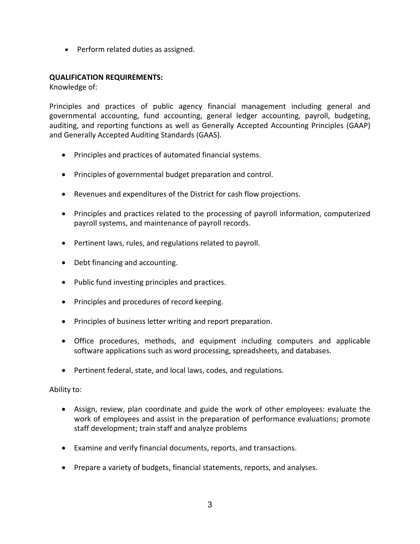• Perform related duties as assigned.

### **QUALIFICATION REQUIREMENTS:**

Knowledge of:

Principles and practices of public agency financial management including general and governmental accounting, fund accounting, general ledger accounting, payroll, budgeting, auditing, and reporting functions as well as Generally Accepted Accounting Principles (GAAP) and Generally Accepted Auditing Standards (GAAS).

- Principles and practices of automated financial systems.
- Principles of governmental budget preparation and control.
- Revenues and expenditures of the District for cash flow projections.
- Principles and practices related to the processing of payroll information, computerized payroll systems, and maintenance of payroll records.
- Pertinent laws, rules, and regulations related to payroll.
- Debt financing and accounting.
- Public fund investing principles and practices.
- Principles and procedures of record keeping.
- Principles of business letter writing and report preparation.
- Office procedures, methods, and equipment including computers and applicable software applications such as word processing, spreadsheets, and databases.
- Pertinent federal, state, and local laws, codes, and regulations.

### Ability to:

- Assign, review, plan coordinate and guide the work of other employees: evaluate the work of employees and assist in the preparation of performance evaluations; promote staff development; train staff and analyze problems
- Examine and verify financial documents, reports, and transactions.
- Prepare a variety of budgets, financial statements, reports, and analyses.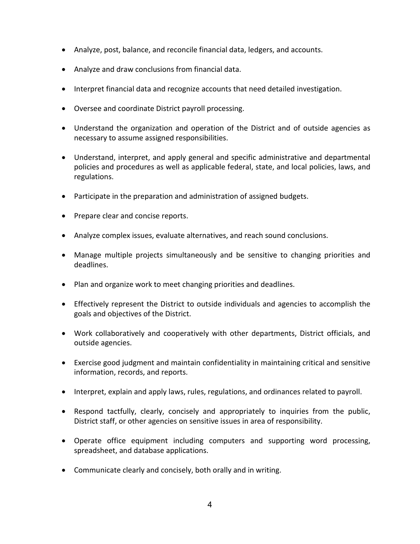- Analyze, post, balance, and reconcile financial data, ledgers, and accounts.
- Analyze and draw conclusions from financial data.
- Interpret financial data and recognize accounts that need detailed investigation.
- Oversee and coordinate District payroll processing.
- Understand the organization and operation of the District and of outside agencies as necessary to assume assigned responsibilities.
- Understand, interpret, and apply general and specific administrative and departmental policies and procedures as well as applicable federal, state, and local policies, laws, and regulations.
- Participate in the preparation and administration of assigned budgets.
- Prepare clear and concise reports.
- Analyze complex issues, evaluate alternatives, and reach sound conclusions.
- Manage multiple projects simultaneously and be sensitive to changing priorities and deadlines.
- Plan and organize work to meet changing priorities and deadlines.
- Effectively represent the District to outside individuals and agencies to accomplish the goals and objectives of the District.
- Work collaboratively and cooperatively with other departments, District officials, and outside agencies.
- Exercise good judgment and maintain confidentiality in maintaining critical and sensitive information, records, and reports.
- Interpret, explain and apply laws, rules, regulations, and ordinances related to payroll.
- Respond tactfully, clearly, concisely and appropriately to inquiries from the public, District staff, or other agencies on sensitive issues in area of responsibility.
- Operate office equipment including computers and supporting word processing, spreadsheet, and database applications.
- Communicate clearly and concisely, both orally and in writing.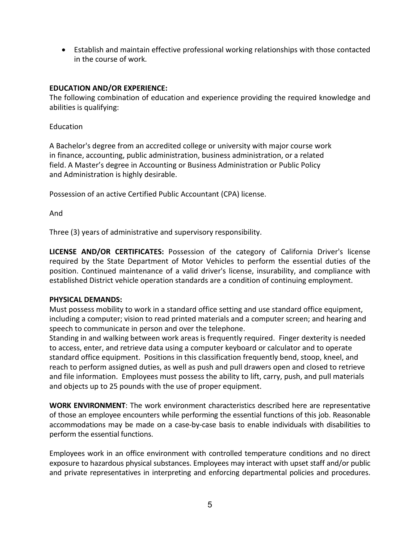• Establish and maintain effective professional working relationships with those contacted in the course of work.

## **EDUCATION AND/OR EXPERIENCE:**

The following combination of education and experience providing the required knowledge and abilities is qualifying:

Education

A Bachelor's degree from an accredited college or university with major course work in finance, accounting, public administration, business administration, or a related field. A Master's degree in Accounting or Business Administration or Public Policy and Administration is highly desirable.

Possession of an active Certified Public Accountant (CPA) license.

And

Three (3) years of administrative and supervisory responsibility.

**LICENSE AND/OR CERTIFICATES:** Possession of the category of California Driver's license required by the State Department of Motor Vehicles to perform the essential duties of the position. Continued maintenance of a valid driver's license, insurability, and compliance with established District vehicle operation standards are a condition of continuing employment.

### **PHYSICAL DEMANDS:**

Must possess mobility to work in a standard office setting and use standard office equipment, including a computer; vision to read printed materials and a computer screen; and hearing and speech to communicate in person and over the telephone.

Standing in and walking between work areas is frequently required. Finger dexterity is needed to access, enter, and retrieve data using a computer keyboard or calculator and to operate standard office equipment. Positions in this classification frequently bend, stoop, kneel, and reach to perform assigned duties, as well as push and pull drawers open and closed to retrieve and file information. Employees must possess the ability to lift, carry, push, and pull materials and objects up to 25 pounds with the use of proper equipment.

**WORK ENVIRONMENT**: The work environment characteristics described here are representative of those an employee encounters while performing the essential functions of this job. Reasonable accommodations may be made on a case-by-case basis to enable individuals with disabilities to perform the essential functions.

Employees work in an office environment with controlled temperature conditions and no direct exposure to hazardous physical substances. Employees may interact with upset staff and/or public and private representatives in interpreting and enforcing departmental policies and procedures.